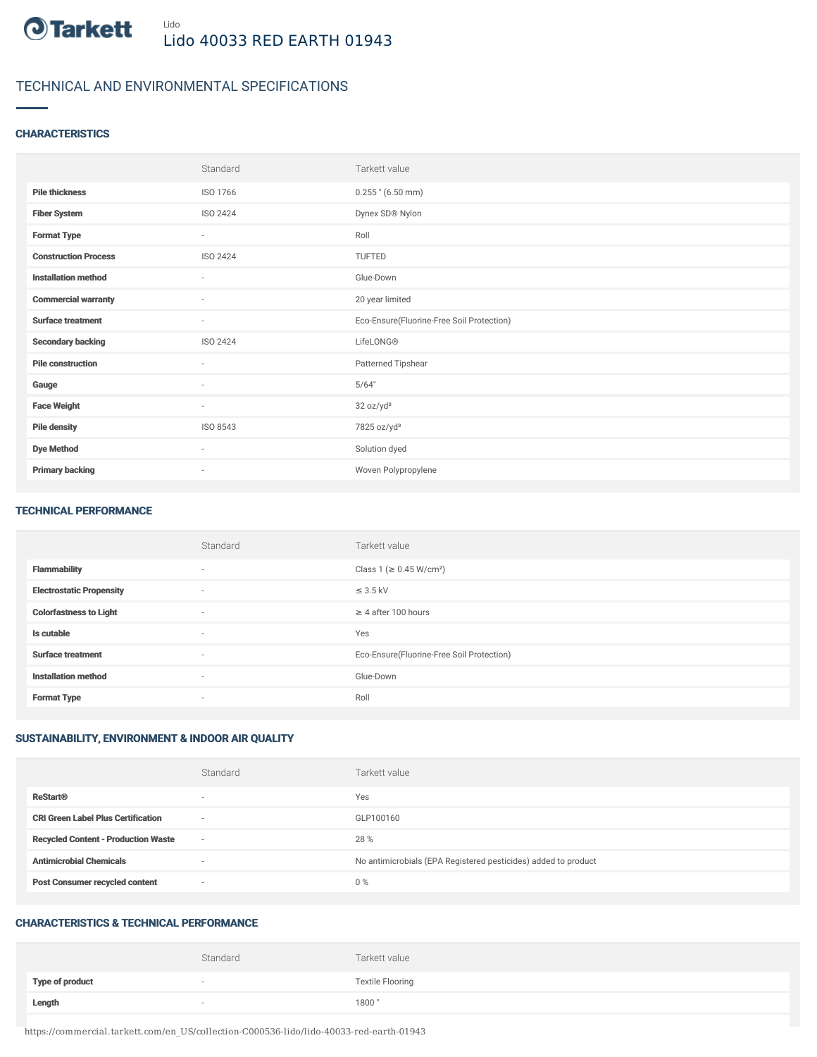

## TECHNICAL AND ENVIRONMENTAL SPECIFICATIONS

## **CHARACTERISTICS**

|                             | Standard                 | Tarkett value                             |
|-----------------------------|--------------------------|-------------------------------------------|
| <b>Pile thickness</b>       | ISO 1766                 | $0.255$ " (6.50 mm)                       |
| <b>Fiber System</b>         | ISO 2424                 | Dynex SD® Nylon                           |
| <b>Format Type</b>          | $\sim$                   | Roll                                      |
| <b>Construction Process</b> | ISO 2424                 | TUFTED                                    |
| <b>Installation method</b>  | $\sim$                   | Glue-Down                                 |
| <b>Commercial warranty</b>  | $\sim$                   | 20 year limited                           |
| <b>Surface treatment</b>    | $\sim$                   | Eco-Ensure(Fluorine-Free Soil Protection) |
| <b>Secondary backing</b>    | ISO 2424                 | LifeLONG®                                 |
| <b>Pile construction</b>    | $\sim$                   | Patterned Tipshear                        |
| Gauge                       | $\overline{\phantom{a}}$ | 5/64"                                     |
| <b>Face Weight</b>          | $\sim$                   | 32 oz/yd <sup>2</sup>                     |
| <b>Pile density</b>         | ISO 8543                 | 7825 oz/yd <sup>3</sup>                   |
| <b>Dye Method</b>           | $\sim$                   | Solution dyed                             |
| <b>Primary backing</b>      | $\overline{\phantom{a}}$ | Woven Polypropylene                       |

#### TECHNICAL PERFORMANCE

|                                 | Standard       | Tarkett value                             |
|---------------------------------|----------------|-------------------------------------------|
| <b>Flammability</b>             | $\overline{a}$ | Class 1 (≥ 0.45 W/cm <sup>2</sup> )       |
| <b>Electrostatic Propensity</b> | $\overline{a}$ | $\leq$ 3.5 kV                             |
| <b>Colorfastness to Light</b>   | $\overline{a}$ | $\geq$ 4 after 100 hours                  |
| Is cutable                      | $\sim$         | Yes                                       |
| <b>Surface treatment</b>        | $\sim$         | Eco-Ensure(Fluorine-Free Soil Protection) |
| <b>Installation method</b>      | $\sim$         | Glue-Down                                 |
| <b>Format Type</b>              | $\sim$         | Roll                                      |

## SUSTAINABILITY, ENVIRONMENT & INDOOR AIR QUALITY

|                                            | Standard                 | Tarkett value                                                  |
|--------------------------------------------|--------------------------|----------------------------------------------------------------|
| <b>ReStart®</b>                            | $\overline{\phantom{a}}$ | Yes                                                            |
| <b>CRI Green Label Plus Certification</b>  | $\overline{\phantom{a}}$ | GLP100160                                                      |
| <b>Recycled Content - Production Waste</b> | $\overline{\phantom{a}}$ | 28 %                                                           |
| <b>Antimicrobial Chemicals</b>             | <b>1999</b>              | No antimicrobials (EPA Registered pesticides) added to product |
| <b>Post Consumer recycled content</b>      | $\overline{\phantom{a}}$ | $0\%$                                                          |

#### CHARACTERISTICS & TECHNICAL PERFORMANCE

|                        | Standard | Tarkett value           |
|------------------------|----------|-------------------------|
| <b>Type of product</b> | $\sim$   | <b>Textile Flooring</b> |
| Length                 | $\sim$   | 1800"                   |

https://commercial.tarkett.com/en\_US/collection-C000536-lido/lido-40033-red-earth-01943